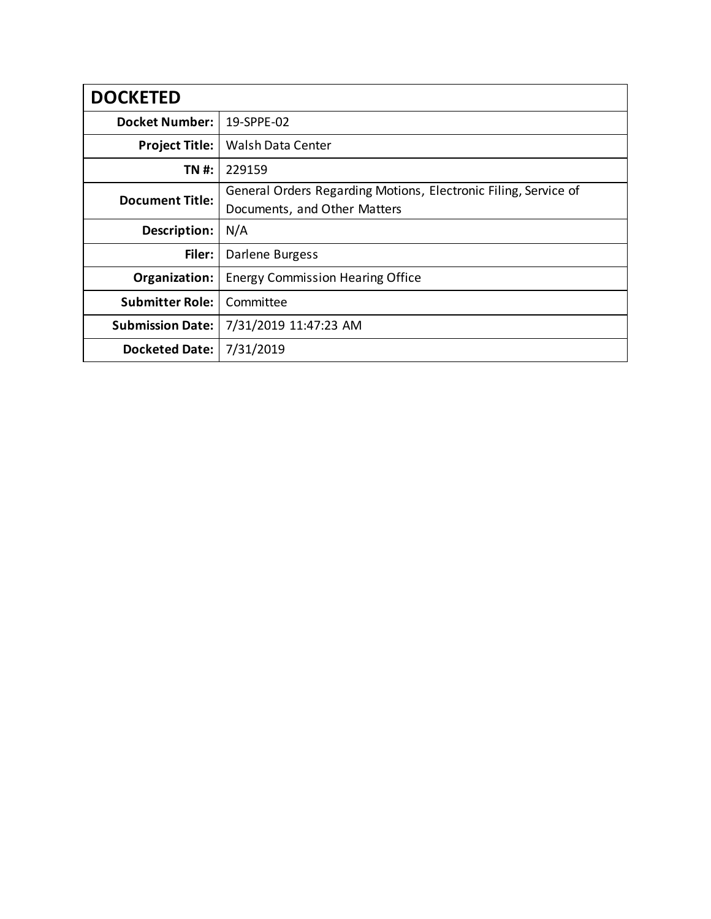| <b>DOCKETED</b>         |                                                                 |
|-------------------------|-----------------------------------------------------------------|
| <b>Docket Number:</b>   | 19-SPPE-02                                                      |
| <b>Project Title:</b>   | <b>Walsh Data Center</b>                                        |
| TN #:                   | 229159                                                          |
| <b>Document Title:</b>  | General Orders Regarding Motions, Electronic Filing, Service of |
|                         | Documents, and Other Matters                                    |
| Description:            | N/A                                                             |
| Filer:                  | Darlene Burgess                                                 |
| Organization:           | <b>Energy Commission Hearing Office</b>                         |
| <b>Submitter Role:</b>  | Committee                                                       |
| <b>Submission Date:</b> | 7/31/2019 11:47:23 AM                                           |
| <b>Docketed Date:</b>   | 7/31/2019                                                       |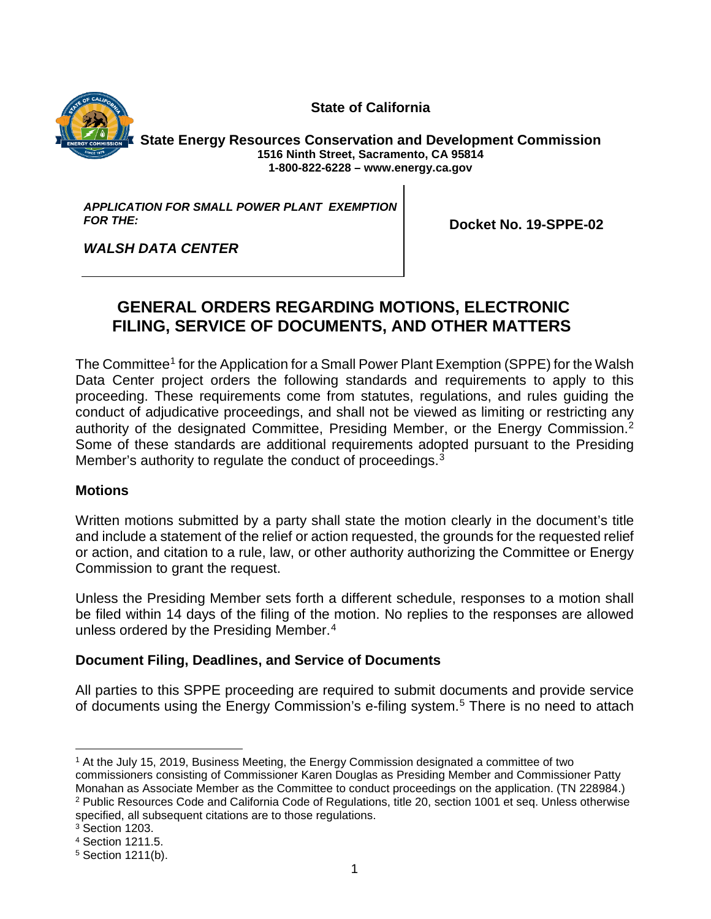**State of California**



**State Energy Resources Conservation and Development Commission 1516 Ninth Street, Sacramento, CA 95814 1-800-822-6228 – [www.energy.ca.gov](http://www.energy.ca.gov/)**

*APPLICATION FOR SMALL POWER PLANT EXEMPTION FOR THE:*

**Docket No. 19-SPPE-02**

*WALSH DATA CENTER*

# **GENERAL ORDERS REGARDING MOTIONS, ELECTRONIC FILING, SERVICE OF DOCUMENTS, AND OTHER MATTERS**

The Committee<sup>[1](#page--1-0)</sup> for the Application for a Small Power Plant Exemption (SPPE) for the Walsh Data Center project orders the following standards and requirements to apply to this proceeding. These requirements come from statutes, regulations, and rules guiding the conduct of adjudicative proceedings, and shall not be viewed as limiting or restricting any authority of the designated Committee, Presiding Member, or the Energy Commission.<sup>[2](#page--1-1)</sup> Some of these standards are additional requirements adopted pursuant to the Presiding Member's authority to regulate the conduct of proceedings. $3$ 

## **Motions**

Written motions submitted by a party shall state the motion clearly in the document's title and include a statement of the relief or action requested, the grounds for the requested relief or action, and citation to a rule, law, or other authority authorizing the Committee or Energy Commission to grant the request.

Unless the Presiding Member sets forth a different schedule, responses to a motion shall be filed within 14 days of the filing of the motion. No replies to the responses are allowed unless ordered by the Presiding Member.<sup>[4](#page--1-3)</sup>

## **Document Filing, Deadlines, and Service of Documents**

All parties to this SPPE proceeding are required to submit documents and provide service of documents using the Energy Commission's e-filing system.<sup>[5](#page--1-4)</sup> There is no need to attach

 <sup>1</sup> At the July 15, 2019, Business Meeting, the Energy Commission designated a committee of two commissioners consisting of Commissioner Karen Douglas as Presiding Member and Commissioner Patty Monahan as Associate Member as the Committee to conduct proceedings on the application. (TN 228984.) <sup>2</sup> Public Resources Code and California Code of Regulations, title 20, section 1001 et seq. Unless otherwise specified, all subsequent citations are to those regulations.

<sup>3</sup> Section 1203.

<sup>4</sup> Section 1211.5.

<sup>5</sup> Section 1211(b).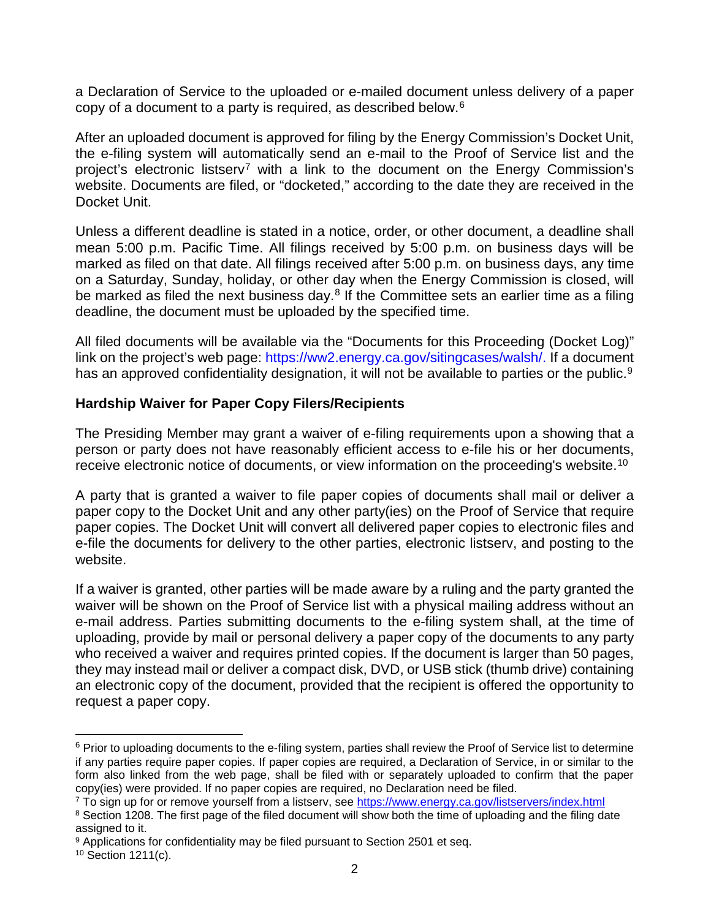a Declaration of Service to the uploaded or e-mailed document unless delivery of a paper copy of a document to a party is required, as described below.[6](#page--1-5)

After an uploaded document is approved for filing by the Energy Commission's Docket Unit, the e-filing system will automatically send an e-mail to the Proof of Service list and the project's electronic listserv<sup>[7](#page--1-1)</sup> with a link to the document on the Energy Commission's website. Documents are filed, or "docketed," according to the date they are received in the Docket Unit.

Unless a different deadline is stated in a notice, order, or other document, a deadline shall mean 5:00 p.m. Pacific Time. All filings received by 5:00 p.m. on business days will be marked as filed on that date. All filings received after 5:00 p.m. on business days, any time on a Saturday, Sunday, holiday, or other day when the Energy Commission is closed, will be marked as filed the next business day. $8$  If the Committee sets an earlier time as a filing deadline, the document must be uploaded by the specified time.

All filed documents will be available via the "Documents for this Proceeding (Docket Log)" link on the project's web page: [https://ww2.energy.ca.gov/sitingcases/walsh/.](https://ww2.energy.ca.gov/sitingcases/walsh/) If a document has an approved confidentiality designation, it will not be available to parties or the public.<sup>9</sup>

## **Hardship Waiver for Paper Copy Filers/Recipients**

The Presiding Member may grant a waiver of e-filing requirements upon a showing that a person or party does not have reasonably efficient access to e-file his or her documents, receive electronic notice of documents, or view information on the proceeding's website.<sup>[10](#page--1-4)</sup>

A party that is granted a waiver to file paper copies of documents shall mail or deliver a paper copy to the Docket Unit and any other party(ies) on the Proof of Service that require paper copies. The Docket Unit will convert all delivered paper copies to electronic files and e-file the documents for delivery to the other parties, electronic listserv, and posting to the website.

If a waiver is granted, other parties will be made aware by a ruling and the party granted the waiver will be shown on the Proof of Service list with a physical mailing address without an e-mail address. Parties submitting documents to the e-filing system shall, at the time of uploading, provide by mail or personal delivery a paper copy of the documents to any party who received a waiver and requires printed copies. If the document is larger than 50 pages, they may instead mail or deliver a compact disk, DVD, or USB stick (thumb drive) containing an electronic copy of the document, provided that the recipient is offered the opportunity to request a paper copy.

 $6$  Prior to uploading documents to the e-filing system, parties shall review the Proof of Service list to determine if any parties require paper copies. If paper copies are required, a Declaration of Service, in or similar to the form also linked from the web page, shall be filed with or separately uploaded to confirm that the paper copy(ies) were provided. If no paper copies are required, no Declaration need be filed.

<sup>&</sup>lt;sup>7</sup> To sign up for or remove yourself from a listserv, see<https://www.energy.ca.gov/listservers/index.html>

<sup>&</sup>lt;sup>8</sup> Section 1208. The first page of the filed document will show both the time of uploading and the filing date assigned to it.

<sup>&</sup>lt;sup>9</sup> Applications for confidentiality may be filed pursuant to Section 2501 et seq.

<sup>10</sup> Section 1211(c).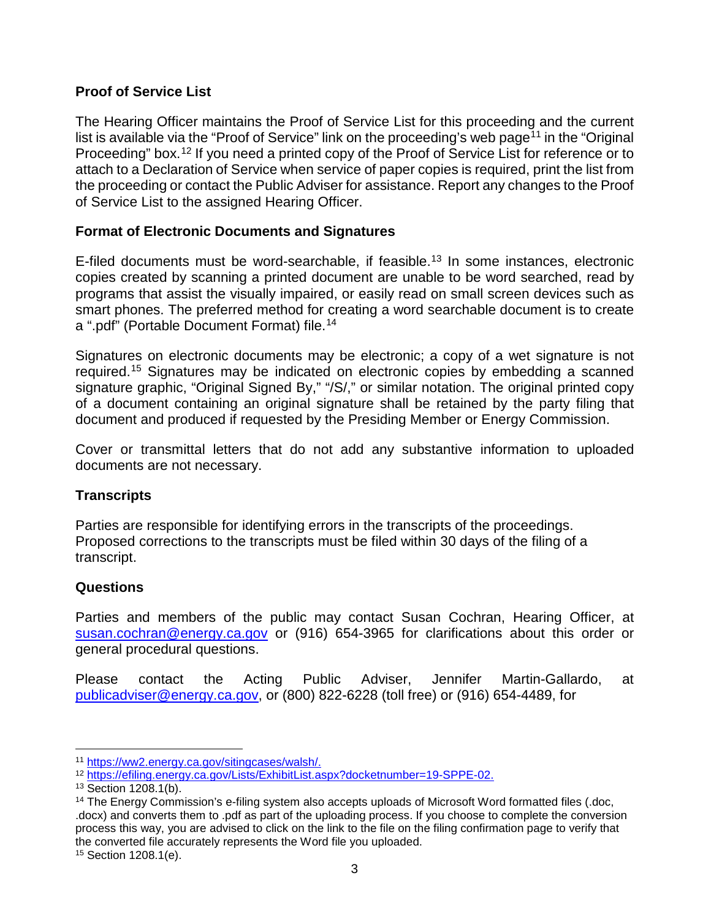## **Proof of Service List**

The Hearing Officer maintains the Proof of Service List for this proceeding and the current list is available via the "Proof of Service" link on the proceeding's web page<sup>[11](#page--1-0)</sup> in the "Original Proceeding" box.<sup>[12](#page--1-7)</sup> If you need a printed copy of the Proof of Service List for reference or to attach to a Declaration of Service when service of paper copies is required, print the list from the proceeding or contact the Public Adviser for assistance. Report any changes to the Proof of Service List to the assigned Hearing Officer.

## **Format of Electronic Documents and Signatures**

E-filed documents must be word-searchable, if feasible.<sup>[13](#page--1-8)</sup> In some instances, electronic copies created by scanning a printed document are unable to be word searched, read by programs that assist the visually impaired, or easily read on small screen devices such as smart phones. The preferred method for creating a word searchable document is to create a ".pdf" (Portable Document Format) file.<sup>[14](#page--1-1)</sup>

Signatures on electronic documents may be electronic; a copy of a wet signature is not required.[15](#page--1-4) Signatures may be indicated on electronic copies by embedding a scanned signature graphic, "Original Signed By," "/S/," or similar notation. The original printed copy of a document containing an original signature shall be retained by the party filing that document and produced if requested by the Presiding Member or Energy Commission.

Cover or transmittal letters that do not add any substantive information to uploaded documents are not necessary.

## **Transcripts**

Parties are responsible for identifying errors in the transcripts of the proceedings. Proposed corrections to the transcripts must be filed within 30 days of the filing of a transcript.

## **Questions**

Parties and members of the public may contact Susan Cochran, Hearing Officer, at [susan.cochran@energy.ca.gov](mailto:susan.cochran@energy.ca.gov) or (916) 654-3965 for clarifications about this order or general procedural questions.

Please contact the Acting Public Adviser, Jennifer Martin-Gallardo, at [publicadviser@energy.ca.gov,](mailto:publicadviser@energy.ca.gov) or (800) 822-6228 (toll free) or (916) 654-4489, for

 <sup>11</sup> [https://ww2.energy.ca.gov/sitingcases/walsh/.](https://ww2.energy.ca.gov/sitingcases/walsh/)

<sup>12</sup> [https://efiling.energy.ca.gov/Lists/ExhibitList.aspx?docketnumber=19-SPPE-02.](https://efiling.energy.ca.gov/Lists/ExhibitList.aspx?docketnumber=19-SPPE-02)

<sup>13</sup> Section 1208.1(b).

<sup>&</sup>lt;sup>14</sup> The Energy Commission's e-filing system also accepts uploads of Microsoft Word formatted files (.doc, .docx) and converts them to .pdf as part of the uploading process. If you choose to complete the conversion process this way, you are advised to click on the link to the file on the filing confirmation page to verify that the converted file accurately represents the Word file you uploaded.

<sup>15</sup> Section 1208.1(e).